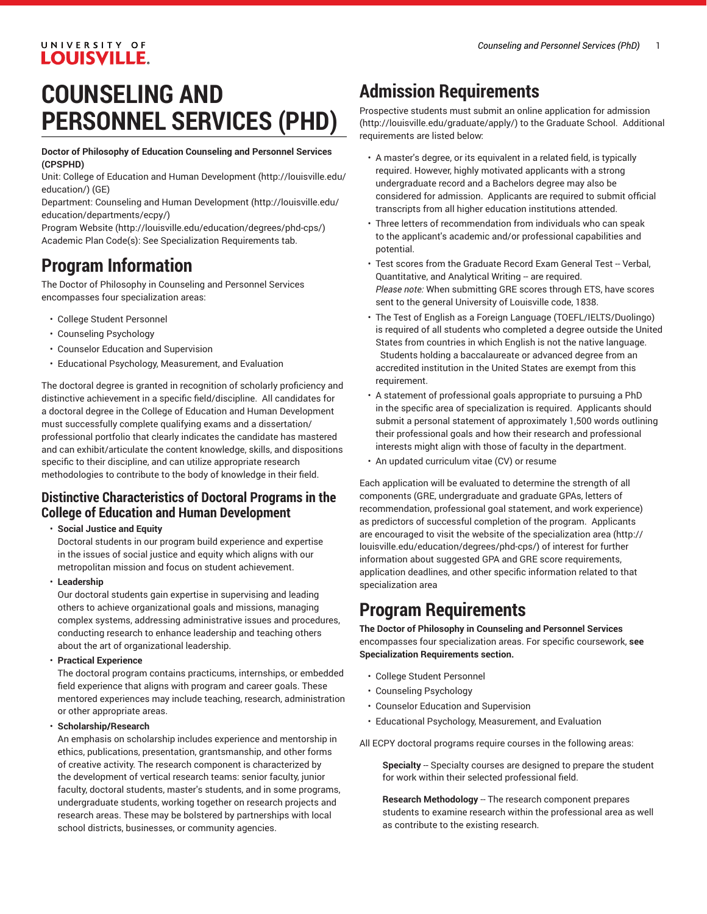### UNIVERSITY OF **LOUISVILLE.**

# **COUNSELING AND PERSONNEL SERVICES (PHD)**

**Doctor of Philosophy of Education Counseling and Personnel Services (CPSPHD)**

Unit: College of Education and Human [Development \(http://louisville.edu/](http://louisville.edu/education/) [education/](http://louisville.edu/education/)) (GE)

Department: Counseling and Human [Development \(http://louisville.edu/](http://louisville.edu/education/departments/ecpy/) [education/departments/ecpy/\)](http://louisville.edu/education/departments/ecpy/)

[Program](http://louisville.edu/education/degrees/phd-cps/) Website [\(http://louisville.edu/education/degrees/phd-cps/](http://louisville.edu/education/degrees/phd-cps/)) Academic Plan Code(s): See Specialization Requirements tab.

## **Program Information**

The Doctor of Philosophy in Counseling and Personnel Services encompasses four specialization areas:

- College Student Personnel
- Counseling Psychology
- Counselor Education and Supervision
- Educational Psychology, Measurement, and Evaluation

The doctoral degree is granted in recognition of scholarly proficiency and distinctive achievement in a specific field/discipline. All candidates for a doctoral degree in the College of Education and Human Development must successfully complete qualifying exams and a dissertation/ professional portfolio that clearly indicates the candidate has mastered and can exhibit/articulate the content knowledge, skills, and dispositions specific to their discipline, and can utilize appropriate research methodologies to contribute to the body of knowledge in their field.

#### **Distinctive Characteristics of Doctoral Programs in the College of Education and Human Development**

#### • **Social Justice and Equity**

Doctoral students in our program build experience and expertise in the issues of social justice and equity which aligns with our metropolitan mission and focus on student achievement.

• **Leadership**

Our doctoral students gain expertise in supervising and leading others to achieve organizational goals and missions, managing complex systems, addressing administrative issues and procedures, conducting research to enhance leadership and teaching others about the art of organizational leadership.

• **Practical Experience**

The doctoral program contains practicums, internships, or embedded field experience that aligns with program and career goals. These mentored experiences may include teaching, research, administration or other appropriate areas.

• **Scholarship/Research**

An emphasis on scholarship includes experience and mentorship in ethics, publications, presentation, grantsmanship, and other forms of creative activity. The research component is characterized by the development of vertical research teams: senior faculty, junior faculty, doctoral students, master's students, and in some programs, undergraduate students, working together on research projects and research areas. These may be bolstered by partnerships with local school districts, businesses, or community agencies.

### **Admission Requirements**

Prospective students must submit an [online application for admission](http://louisville.edu/graduate/apply/) [\(http://louisville.edu/graduate/apply/\)](http://louisville.edu/graduate/apply/) to the Graduate School. Additional requirements are listed below:

- A master's degree, or its equivalent in a related field, is typically required. However, highly motivated applicants with a strong undergraduate record and a Bachelors degree may also be considered for admission. Applicants are required to submit official transcripts from all higher education institutions attended.
- Three letters of recommendation from individuals who can speak to the applicant's academic and/or professional capabilities and potential.
- Test scores from the Graduate Record Exam General Test -- Verbal, Quantitative, and Analytical Writing -- are required. *Please note:* When submitting GRE scores through ETS, have scores sent to the general University of Louisville code, 1838.
- The Test of English as a Foreign Language (TOEFL/IELTS/Duolingo) is required of all students who completed a degree outside the United States from countries in which English is not the native language. Students holding a baccalaureate or advanced degree from an accredited institution in the United States are exempt from this requirement.
- A statement of professional goals appropriate to pursuing a PhD in the specific area of specialization is required. Applicants should submit a personal statement of approximately 1,500 words outlining their professional goals and how their research and professional interests might align with those of faculty in the department.
- An updated curriculum vitae (CV) or resume

Each application will be evaluated to determine the strength of all components (GRE, undergraduate and graduate GPAs, letters of recommendation, professional goal statement, and work experience) as predictors of successful completion of the program. Applicants are encouraged to visit the website of the [specialization](http://louisville.edu/education/degrees/phd-cps/) area ([http://](http://louisville.edu/education/degrees/phd-cps/) [louisville.edu/education/degrees/phd-cps/\)](http://louisville.edu/education/degrees/phd-cps/) of interest for further information about suggested GPA and GRE score requirements, application deadlines, and other specific information related to that specialization area

### **Program Requirements**

**The Doctor of Philosophy in Counseling and Personnel Services** encompasses four specialization areas. For specific coursework, **see Specialization Requirements section.**

- College Student Personnel
- Counseling Psychology
- Counselor Education and Supervision
- Educational Psychology, Measurement, and Evaluation

All ECPY doctoral programs require courses in the following areas:

**Specialty** -- Specialty courses are designed to prepare the student for work within their selected professional field.

**Research Methodology** -- The research component prepares students to examine research within the professional area as well as contribute to the existing research.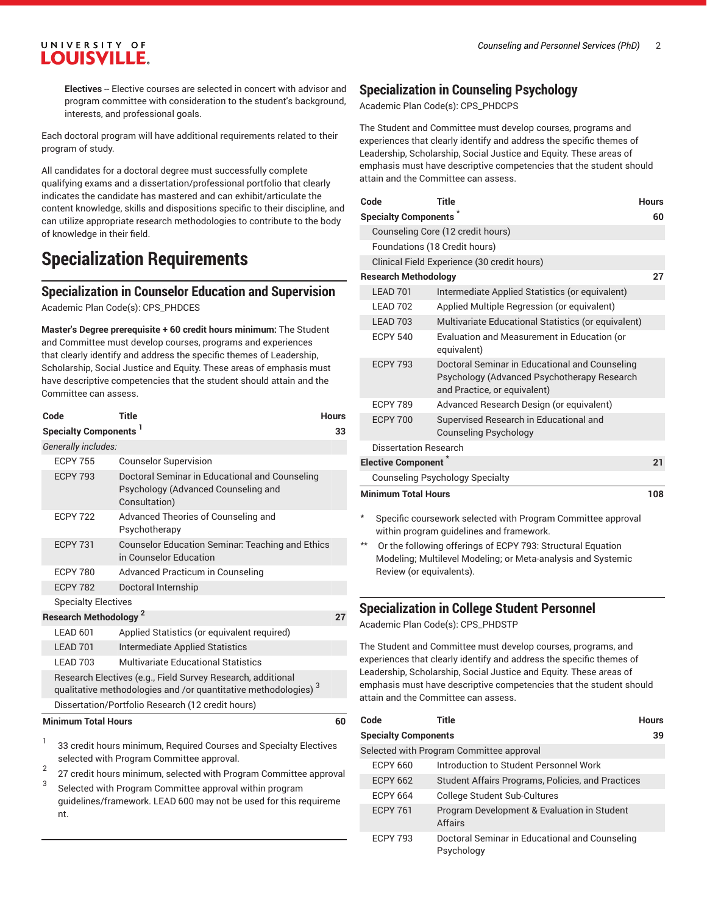#### UNIVERSITY OF **LOUISVILLE.**

**Electives** -- Elective courses are selected in concert with advisor and program committee with consideration to the student's background, interests, and professional goals.

Each doctoral program will have additional requirements related to their program of study.

All candidates for a doctoral degree must successfully complete qualifying exams and a dissertation/professional portfolio that clearly indicates the candidate has mastered and can exhibit/articulate the content knowledge, skills and dispositions specific to their discipline, and can utilize appropriate research methodologies to contribute to the body of knowledge in their field.

### **Specialization Requirements**

#### **Specialization in Counselor Education and Supervision**

Academic Plan Code(s): CPS\_PHDCES

**Master's Degree prerequisite + 60 credit hours minimum:** The Student and Committee must develop courses, programs and experiences that clearly identify and address the specific themes of Leadership, Scholarship, Social Justice and Equity. These areas of emphasis must have descriptive competencies that the student should attain and the Committee can assess.

| Code                                                                                                                              | <b>Title</b>                                                                                           | <b>Hours</b> |  |
|-----------------------------------------------------------------------------------------------------------------------------------|--------------------------------------------------------------------------------------------------------|--------------|--|
| Specialty Components <sup>1</sup><br>33                                                                                           |                                                                                                        |              |  |
| Generally includes:                                                                                                               |                                                                                                        |              |  |
| <b>ECPY 755</b>                                                                                                                   | <b>Counselor Supervision</b>                                                                           |              |  |
| <b>ECPY 793</b>                                                                                                                   | Doctoral Seminar in Educational and Counseling<br>Psychology (Advanced Counseling and<br>Consultation) |              |  |
| <b>ECPY 722</b>                                                                                                                   | Advanced Theories of Counseling and<br>Psychotherapy                                                   |              |  |
| <b>ECPY 731</b>                                                                                                                   | <b>Counselor Education Seminar: Teaching and Ethics</b><br>in Counselor Education                      |              |  |
| <b>ECPY 780</b>                                                                                                                   | Advanced Practicum in Counseling                                                                       |              |  |
| <b>FCPY 782</b>                                                                                                                   | Doctoral Internship                                                                                    |              |  |
| <b>Specialty Electives</b>                                                                                                        |                                                                                                        |              |  |
| <b>Research Methodology<sup>2</sup></b>                                                                                           |                                                                                                        | 27           |  |
| LEAD 601                                                                                                                          | Applied Statistics (or equivalent required)                                                            |              |  |
| LEAD 701                                                                                                                          | <b>Intermediate Applied Statistics</b>                                                                 |              |  |
| <b>I FAD 703</b>                                                                                                                  | Multivariate Educational Statistics                                                                    |              |  |
| Research Electives (e.g., Field Survey Research, additional<br>qualitative methodologies and /or quantitative methodologies) $^3$ |                                                                                                        |              |  |
| Dissertation/Portfolio Research (12 credit hours)                                                                                 |                                                                                                        |              |  |
| <b>Minimum Total Hours</b>                                                                                                        |                                                                                                        |              |  |
|                                                                                                                                   | 00 and distances and pictor compared and and one of the Flashings                                      |              |  |

- 33 credit hours minimum, Required Courses and Specialty Electives selected with Program Committee approval.
- 2 27 credit hours minimum, selected with Program Committee approval
- 3 Selected with Program Committee approval within program guidelines/framework. LEAD 600 may not be used for this requireme nt.

#### **Specialization in Counseling Psychology**

Academic Plan Code(s): CPS\_PHDCPS

The Student and Committee must develop courses, programs and experiences that clearly identify and address the specific themes of Leadership, Scholarship, Social Justice and Equity. These areas of emphasis must have descriptive competencies that the student should attain and the Committee can assess.

| Code                                        | Title                                                                                                                         | <b>Hours</b> |  |
|---------------------------------------------|-------------------------------------------------------------------------------------------------------------------------------|--------------|--|
| <b>Specialty Components</b><br>60           |                                                                                                                               |              |  |
| Counseling Core (12 credit hours)           |                                                                                                                               |              |  |
| Foundations (18 Credit hours)               |                                                                                                                               |              |  |
| Clinical Field Experience (30 credit hours) |                                                                                                                               |              |  |
| <b>Research Methodology</b>                 |                                                                                                                               | 27           |  |
| LEAD <sub>701</sub>                         | Intermediate Applied Statistics (or equivalent)                                                                               |              |  |
| LEAD 702                                    | Applied Multiple Regression (or equivalent)                                                                                   |              |  |
| LEAD <sub>703</sub>                         | Multivariate Educational Statistics (or equivalent)                                                                           |              |  |
| <b>ECPY 540</b>                             | Evaluation and Measurement in Education (or<br>equivalent)                                                                    |              |  |
| <b>ECPY 793</b>                             | Doctoral Seminar in Educational and Counseling<br>Psychology (Advanced Psychotherapy Research<br>and Practice, or equivalent) |              |  |
| <b>ECPY 789</b>                             | Advanced Research Design (or equivalent)                                                                                      |              |  |
| <b>ECPY 700</b>                             | Supervised Research in Educational and<br><b>Counseling Psychology</b>                                                        |              |  |
| Dissertation Research                       |                                                                                                                               |              |  |
| <b>Elective Component</b>                   |                                                                                                                               | 21           |  |
| <b>Counseling Psychology Specialty</b>      |                                                                                                                               |              |  |
| <b>Minimum Total Hours</b>                  |                                                                                                                               |              |  |

- Specific coursework selected with Program Committee approval within program guidelines and framework.
- Or the following offerings of ECPY 793: Structural Equation Modeling; Multilevel Modeling; or Meta-analysis and Systemic Review (or equivalents).

#### **Specialization in College Student Personnel**

Academic Plan Code(s): CPS\_PHDSTP

The Student and Committee must develop courses, programs, and experiences that clearly identify and address the specific themes of Leadership, Scholarship, Social Justice and Equity. These areas of emphasis must have descriptive competencies that the student should attain and the Committee can assess.

| Code                        | Title                                                        | <b>Hours</b> |
|-----------------------------|--------------------------------------------------------------|--------------|
| <b>Specialty Components</b> |                                                              | 39           |
|                             | Selected with Program Committee approval                     |              |
| <b>ECPY 660</b>             | Introduction to Student Personnel Work                       |              |
| <b>ECPY 662</b>             | Student Affairs Programs, Policies, and Practices            |              |
| <b>FCPY 664</b>             | College Student Sub-Cultures                                 |              |
| <b>FCPY 761</b>             | Program Development & Evaluation in Student<br>Affairs       |              |
| <b>ECPY 793</b>             | Doctoral Seminar in Educational and Counseling<br>Psychology |              |